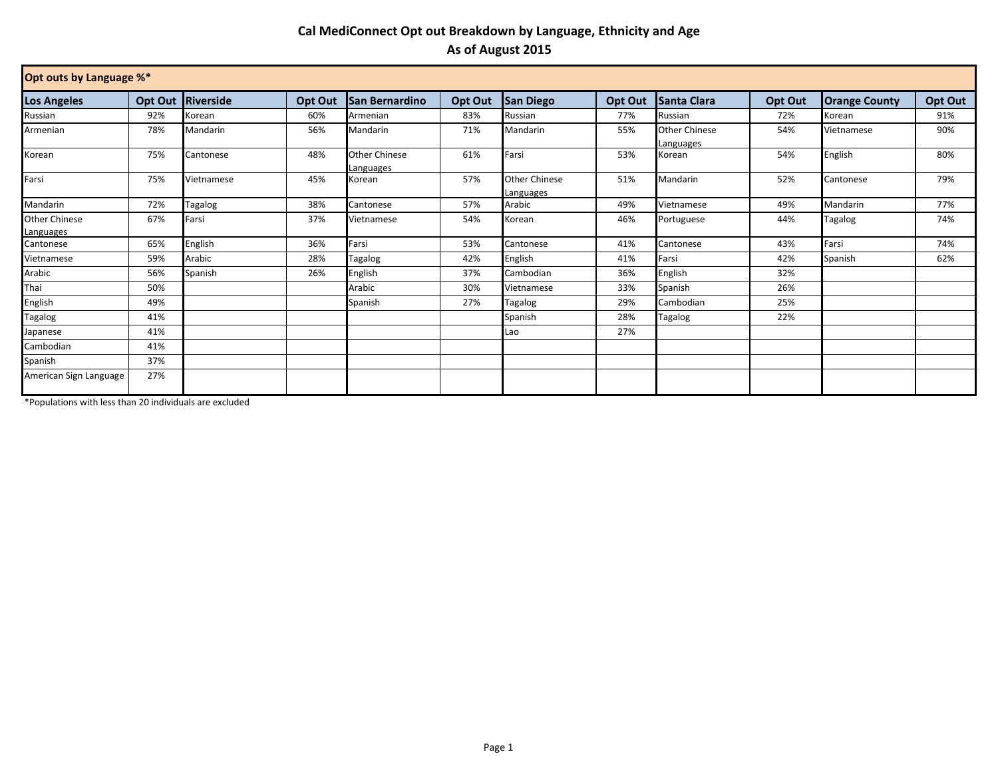## **Cal MediConnect Opt out Breakdown by Language, Ethnicity and Age As of August 2015**

| Opt outs by Language %*           |         |            |         |                                   |         |                                   |         |                            |         |                      |         |
|-----------------------------------|---------|------------|---------|-----------------------------------|---------|-----------------------------------|---------|----------------------------|---------|----------------------|---------|
| Los Angeles                       | Opt Out | Riverside  | Opt Out | <b>San Bernardino</b>             | Opt Out | <b>San Diego</b>                  | Opt Out | <b>Santa Clara</b>         | Opt Out | <b>Orange County</b> | Opt Out |
| Russian                           | 92%     | Korean     | 60%     | Armenian                          | 83%     | Russian                           | 77%     | Russian                    | 72%     | Korean               | 91%     |
| Armenian                          | 78%     | Mandarin   | 56%     | Mandarin                          | 71%     | Mandarin                          | 55%     | Other Chinese<br>Languages | 54%     | Vietnamese           | 90%     |
| Korean                            | 75%     | Cantonese  | 48%     | <b>Other Chinese</b><br>Languages | 61%     | Farsi                             | 53%     | Korean                     | 54%     | English              | 80%     |
| Farsi                             | 75%     | Vietnamese | 45%     | Korean                            | 57%     | <b>Other Chinese</b><br>Languages | 51%     | Mandarin                   | 52%     | Cantonese            | 79%     |
| Mandarin                          | 72%     | Tagalog    | 38%     | Cantonese                         | 57%     | Arabic                            | 49%     | Vietnamese                 | 49%     | Mandarin             | 77%     |
| <b>Other Chinese</b><br>Languages | 67%     | Farsi      | 37%     | Vietnamese                        | 54%     | Korean                            | 46%     | Portuguese                 | 44%     | Tagalog              | 74%     |
| Cantonese                         | 65%     | English    | 36%     | Farsi                             | 53%     | Cantonese                         | 41%     | Cantonese                  | 43%     | Farsi                | 74%     |
| Vietnamese                        | 59%     | Arabic     | 28%     | Tagalog                           | 42%     | English                           | 41%     | Farsi                      | 42%     | Spanish              | 62%     |
| Arabic                            | 56%     | Spanish    | 26%     | English                           | 37%     | Cambodian                         | 36%     | English                    | 32%     |                      |         |
| Thai                              | 50%     |            |         | Arabic                            | 30%     | Vietnamese                        | 33%     | Spanish                    | 26%     |                      |         |
| English                           | 49%     |            |         | Spanish                           | 27%     | Tagalog                           | 29%     | Cambodian                  | 25%     |                      |         |
| Tagalog                           | 41%     |            |         |                                   |         | Spanish                           | 28%     | Tagalog                    | 22%     |                      |         |
| lapanese                          | 41%     |            |         |                                   |         | Lao                               | 27%     |                            |         |                      |         |
| Cambodian                         | 41%     |            |         |                                   |         |                                   |         |                            |         |                      |         |
| Spanish                           | 37%     |            |         |                                   |         |                                   |         |                            |         |                      |         |
| American Sign Language            | 27%     |            |         |                                   |         |                                   |         |                            |         |                      |         |

\*Populations with less than 20 individuals are excluded